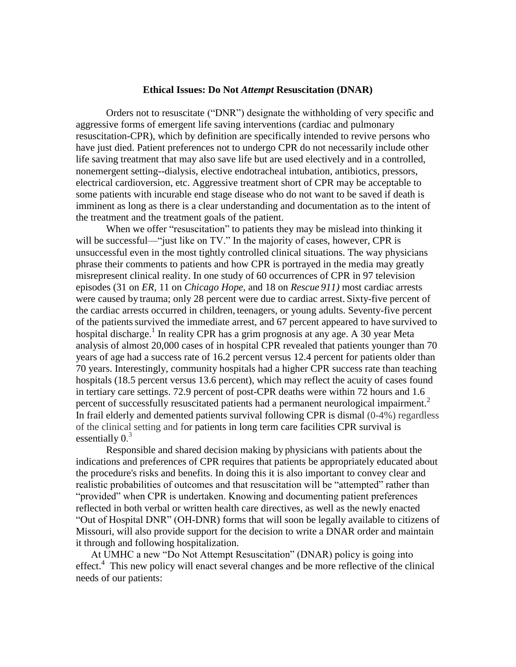## **Ethical Issues: Do Not** *Attempt* **Resuscitation (DNAR)**

Orders not to resuscitate ("DNR") designate the withholding of very specific and aggressive forms of emergent life saving interventions (cardiac and pulmonary resuscitation-CPR), which by definition are specifically intended to revive persons who have just died. Patient preferences not to undergo CPR do not necessarily include other life saving treatment that may also save life but are used electively and in a controlled, nonemergent setting--dialysis, elective endotracheal intubation, antibiotics, pressors, electrical cardioversion, etc. Aggressive treatment short of CPR may be acceptable to some patients with incurable end stage disease who do not want to be saved if death is imminent as long as there is a clear understanding and documentation as to the intent of the treatment and the treatment goals of the patient.

When we offer "resuscitation" to patients they may be mislead into thinking it will be successful—"just like on TV." In the majority of cases, however, CPR is unsuccessful even in the most tightly controlled clinical situations. The way physicians phrase their comments to patients and how CPR is portrayed in the media may greatly misrepresent clinical reality. In one study of 60 occurrences of CPR in 97 television episodes (31 on *ER,* 11 on *Chicago Hope,* and 18 on *Rescue 911)* most cardiac arrests were caused by trauma; only 28 percent were due to cardiac arrest. Sixty-five percent of the cardiac arrests occurred in children, teenagers, or young adults. Seventy-five percent of the patients survived the immediate arrest, and 67 percent appeared to have survived to hospital discharge.<sup>1</sup> In reality CPR has a grim prognosis at any age. A 30 year Meta analysis of almost 20,000 cases of in hospital CPR revealed that patients younger than 70 years of age had a success rate of 16.2 percent versus 12.4 percent for patients older than 70 years. Interestingly, community hospitals had a higher CPR success rate than teaching hospitals (18.5 percent versus 13.6 percent), which may reflect the acuity of cases found in tertiary care settings. 72.9 percent of post-CPR deaths were within 72 hours and 1.6 percent of successfully resuscitated patients had a permanent neurological impairment.<sup>2</sup> In frail elderly and demented patients survival following CPR is dismal (0-4%) regardless of the clinical setting and for patients in long term care facilities CPR survival is essentially  $0.<sup>3</sup>$ 

Responsible and shared decision making by physicians with patients about the indications and preferences of CPR requires that patients be appropriately educated about the procedure's risks and benefits. In doing this it is also important to convey clear and realistic probabilities of outcomes and that resuscitation will be "attempted" rather than "provided" when CPR is undertaken. Knowing and documenting patient preferences reflected in both verbal or written health care directives, as well as the newly enacted "Out of Hospital DNR" (OH-DNR) forms that will soon be legally available to citizens of Missouri, will also provide support for the decision to write a DNAR order and maintain it through and following hospitalization.

At UMHC a new "Do Not Attempt Resuscitation" (DNAR) policy is going into effect.<sup>4</sup> This new policy will enact several changes and be more reflective of the clinical needs of our patients: